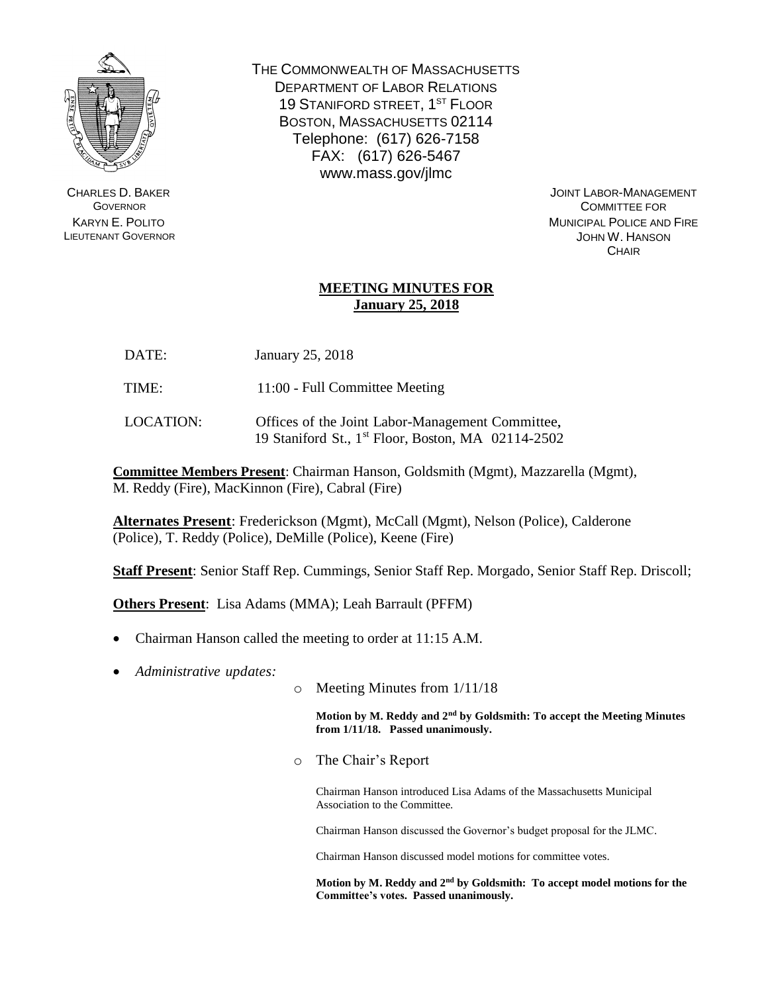

CHARLES D. BAKER **GOVERNOR** KARYN E. POLITO LIEUTENANT GOVERNOR THE COMMONWEALTH OF MASSACHUSETTS DEPARTMENT OF LABOR RELATIONS 19 STANIFORD STREET, 1<sup>ST</sup> FLOOR BOSTON, MASSACHUSETTS 02114 Telephone: (617) 626-7158 FAX: (617) 626-5467 www.mass.gov/jlmc

> JOINT LABOR-MANAGEMENT COMMITTEE FOR MUNICIPAL POLICE AND FIRE JOHN W. HANSON **CHAIR**

## **MEETING MINUTES FOR January 25, 2018**

- DATE: January 25, 2018
- TIME: 11:00 Full Committee Meeting
- LOCATION: Offices of the Joint Labor-Management Committee, 19 Staniford St., 1 st Floor, Boston, MA 02114-2502

**Committee Members Present**: Chairman Hanson, Goldsmith (Mgmt), Mazzarella (Mgmt), M. Reddy (Fire), MacKinnon (Fire), Cabral (Fire)

**Alternates Present**: Frederickson (Mgmt), McCall (Mgmt), Nelson (Police), Calderone (Police), T. Reddy (Police), DeMille (Police), Keene (Fire)

**Staff Present**: Senior Staff Rep. Cummings, Senior Staff Rep. Morgado, Senior Staff Rep. Driscoll;

**Others Present**: Lisa Adams (MMA); Leah Barrault (PFFM)

- Chairman Hanson called the meeting to order at 11:15 A.M.
- *Administrative updates:*
- o Meeting Minutes from 1/11/18

**Motion by M. Reddy and 2nd by Goldsmith: To accept the Meeting Minutes from 1/11/18. Passed unanimously.**

o The Chair's Report

Chairman Hanson introduced Lisa Adams of the Massachusetts Municipal Association to the Committee.

Chairman Hanson discussed the Governor's budget proposal for the JLMC.

Chairman Hanson discussed model motions for committee votes.

**Motion by M. Reddy and 2nd by Goldsmith: To accept model motions for the Committee's votes. Passed unanimously.**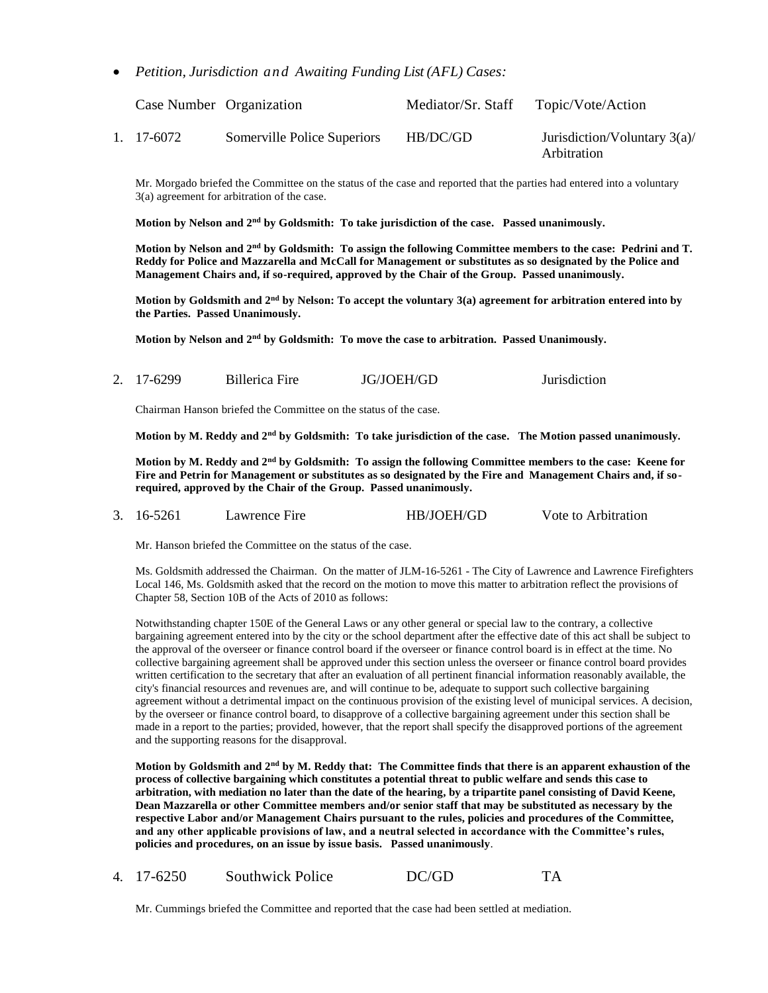*Petition, Jurisdiction and Awaiting Funding List (AFL) Cases:*

| Case Number Organization |                             | Mediator/Sr. Staff | Topic/Vote/Action                              |
|--------------------------|-----------------------------|--------------------|------------------------------------------------|
| 1. 17-6072               | Somerville Police Superiors | HB/DC/GD           | Jurisdiction/Voluntary $3(a)$ /<br>Arbitration |

Mr. Morgado briefed the Committee on the status of the case and reported that the parties had entered into a voluntary 3(a) agreement for arbitration of the case.

**Motion by Nelson and 2nd by Goldsmith: To take jurisdiction of the case. Passed unanimously.**

**Motion by Nelson and 2nd by Goldsmith: To assign the following Committee members to the case: Pedrini and T. Reddy for Police and Mazzarella and McCall for Management or substitutes as so designated by the Police and Management Chairs and, if so-required, approved by the Chair of the Group. Passed unanimously.**

**Motion by Goldsmith and 2nd by Nelson: To accept the voluntary 3(a) agreement for arbitration entered into by the Parties. Passed Unanimously.**

**Motion by Nelson and 2nd by Goldsmith: To move the case to arbitration. Passed Unanimously.**

| JG/JOEH/GD<br>2. 17-6299<br>Billerica Fire | <b>Jurisdiction</b> |
|--------------------------------------------|---------------------|
|--------------------------------------------|---------------------|

Chairman Hanson briefed the Committee on the status of the case.

**Motion by M. Reddy and 2nd by Goldsmith: To take jurisdiction of the case. The Motion passed unanimously.**

**Motion by M. Reddy and 2nd by Goldsmith: To assign the following Committee members to the case: Keene for Fire and Petrin for Management or substitutes as so designated by the Fire and Management Chairs and, if sorequired, approved by the Chair of the Group. Passed unanimously.**

3. 16-5261 Lawrence Fire HB/JOEH/GD Vote to Arbitration

Mr. Hanson briefed the Committee on the status of the case.

Ms. Goldsmith addressed the Chairman. On the matter of JLM-16-5261 - The City of Lawrence and Lawrence Firefighters Local 146, Ms. Goldsmith asked that the record on the motion to move this matter to arbitration reflect the provisions of Chapter 58, Section 10B of the Acts of 2010 as follows:

Notwithstanding chapter 150E of the General Laws or any other general or special law to the contrary, a collective bargaining agreement entered into by the city or the school department after the effective date of this act shall be subject to the approval of the overseer or finance control board if the overseer or finance control board is in effect at the time. No collective bargaining agreement shall be approved under this section unless the overseer or finance control board provides written certification to the secretary that after an evaluation of all pertinent financial information reasonably available, the city's financial resources and revenues are, and will continue to be, adequate to support such collective bargaining agreement without a detrimental impact on the continuous provision of the existing level of municipal services. A decision, by the overseer or finance control board, to disapprove of a collective bargaining agreement under this section shall be made in a report to the parties; provided, however, that the report shall specify the disapproved portions of the agreement and the supporting reasons for the disapproval.

**Motion by Goldsmith and 2nd by M. Reddy that: The Committee finds that there is an apparent exhaustion of the process of collective bargaining which constitutes a potential threat to public welfare and sends this case to arbitration, with mediation no later than the date of the hearing, by a tripartite panel consisting of David Keene, Dean Mazzarella or other Committee members and/or senior staff that may be substituted as necessary by the respective Labor and/or Management Chairs pursuant to the rules, policies and procedures of the Committee, and any other applicable provisions of law, and a neutral selected in accordance with the Committee's rules, policies and procedures, on an issue by issue basis. Passed unanimously**.

4. 17-6250 Southwick Police DC/GD TA

Mr. Cummings briefed the Committee and reported that the case had been settled at mediation.